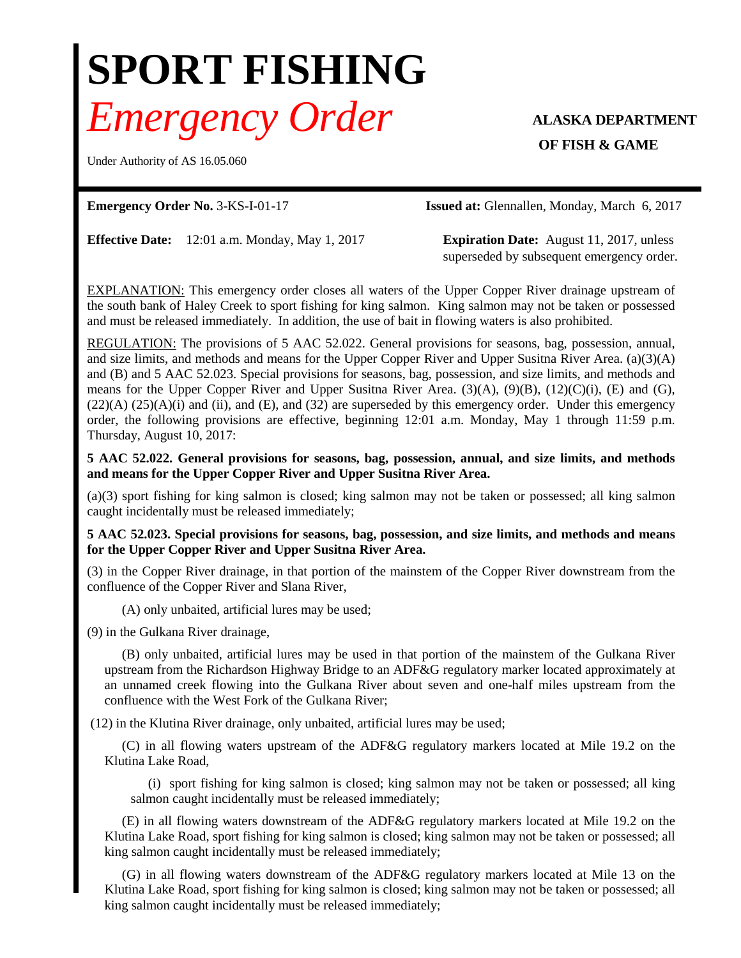## **SPORT FISHING** *Emergency Order* **ALASKA DEPARTMENT**

Under Authority of AS 16.05.060

**OF FISH & GAME** 

**Emergency Order No.** 3-KS-I-01-17 **Issued at:** Glennallen, Monday, March 6, 2017

**Effective Date:** 12:01 a.m. Monday, May 1, 2017 **Expiration Date:** August 11, 2017, unless

superseded by subsequent emergency order.

EXPLANATION: This emergency order closes all waters of the Upper Copper River drainage upstream of the south bank of Haley Creek to sport fishing for king salmon. King salmon may not be taken or possessed and must be released immediately. In addition, the use of bait in flowing waters is also prohibited.

REGULATION: The provisions of 5 AAC 52.022. General provisions for seasons, bag, possession, annual, and size limits, and methods and means for the Upper Copper River and Upper Susitna River Area. (a)(3)(A) and (B) and 5 AAC 52.023. Special provisions for seasons, bag, possession, and size limits, and methods and means for the Upper Copper River and Upper Susitna River Area. (3)(A), (9)(B), (12)(C)(i), (E) and (G),  $(22)(A)$   $(25)(A)(i)$  and  $(ii)$ , and  $(E)$ , and  $(32)$  are superseded by this emergency order. Under this emergency order, the following provisions are effective, beginning 12:01 a.m. Monday, May 1 through 11:59 p.m. Thursday, August 10, 2017:

**5 AAC 52.022. General provisions for seasons, bag, possession, annual, and size limits, and methods and means for the Upper Copper River and Upper Susitna River Area.**

(a)(3) sport fishing for king salmon is closed; king salmon may not be taken or possessed; all king salmon caught incidentally must be released immediately;

**5 AAC 52.023. Special provisions for seasons, bag, possession, and size limits, and methods and means for the Upper Copper River and Upper Susitna River Area.**

(3) in the Copper River drainage, in that portion of the mainstem of the Copper River downstream from the confluence of the Copper River and Slana River,

(A) only unbaited, artificial lures may be used;

(9) in the Gulkana River drainage,

(B) only unbaited, artificial lures may be used in that portion of the mainstem of the Gulkana River upstream from the Richardson Highway Bridge to an ADF&G regulatory marker located approximately at an unnamed creek flowing into the Gulkana River about seven and one-half miles upstream from the confluence with the West Fork of the Gulkana River;

(12) in the Klutina River drainage, only unbaited, artificial lures may be used;

(C) in all flowing waters upstream of the ADF&G regulatory markers located at Mile 19.2 on the Klutina Lake Road,

(i) sport fishing for king salmon is closed; king salmon may not be taken or possessed; all king salmon caught incidentally must be released immediately;

(E) in all flowing waters downstream of the ADF&G regulatory markers located at Mile 19.2 on the Klutina Lake Road, sport fishing for king salmon is closed; king salmon may not be taken or possessed; all king salmon caught incidentally must be released immediately;

(G) in all flowing waters downstream of the ADF&G regulatory markers located at Mile 13 on the Klutina Lake Road, sport fishing for king salmon is closed; king salmon may not be taken or possessed; all king salmon caught incidentally must be released immediately;